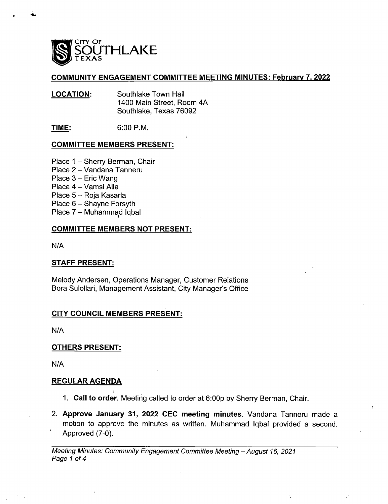

### COMMUNITY ENGAGEMENT COMMITTEE MEETING MINUTES: February 7, 2022

LOCATION: Southlake Town Hall 1400 Main Street, Room 4A Southlake, Texas 76092

**TIME:** 6:00 P.M.

### COMMITTEE MEMBERS PRESENT:

- Place 1 Sherry Berman, Chair
- Place 2 Vandana Tanneru
- Place 3 Eric Wang
- Place 4 Vamsi Alla
- Place 5— Roja Kasarla
- Place 6 Shayne Forsyth
- Place 7— Muhammad Igbal

### COMMITTEE MEMBERS NOT PRESENT:

 $N/A$ 

### STAFF PRESENT:

Melody Andersen, Operations Manager, Customer Relations Bora Sulollari, Management Assistant, City Manager's Office

### CITY COUNCIL MEMBERS PRESENT:

 $N/A$ 

### OTHERS PRESENT:

 $N/A$ 

### REGULAR AGENDA

- 1. Call to order. Meeting called to order at 6: OOp by Sherry Berman, Chair.
- 2. Approve January 31, 2022 CEC meeting minutes. Vandana Tanneru made <sup>a</sup> motion to approve the minutes as written. Muhammad lqbal provided <sup>a</sup> second. Approved (7-0).

Meeting Minutes: Community Engagement Committee Meeting— August 16, 2021 Page <sup>1</sup> of 4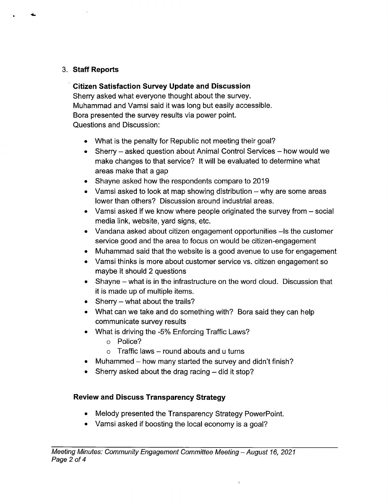# 3. Staff Reports

4

## Citizen Satisfaction Survey Update and Discussion

Sherry asked what everyone thought about the survey. Muhammad and Vamsi said it was long but easily accessible. Bora presented the survey results via power point. Questions and Discussion:

- What is the penalty for Republic not meeting their goal?
- Sherry asked question about Animal Control Services how would we make changes to that service? It will be evaluated to determine what areas make that a gap
- Shayne asked how the respondents compare to 2019
- Vamsi asked to look at map showing distribution  $-$  why are some areas lower than others? Discussion around industrial areas.
- Vamsi asked if we know where people originated the survey from  $-$  social media link, website, yard signs, etc.
- Vandana asked about citizen engagement opportunities —Is the customer service good and the area to focus on would be citizen-engagement
- Muhammad said that the website is a good avenue to use for engagement
- Vamsi thinks is more about customer service vs. citizen engagement so maybe it should 2 questions
- Shayne what is in the infrastructure on the word cloud. Discussion that it is made up of multiple items.
- $\bullet$  Sherry what about the trails?
- What can we take and do something with? Bora said they can help communicate survey results
- What is driving the -5% Enforcing Traffic Laws?
	- o Police?
	- $\circ$  Traffic laws round abouts and u turns
- Muhammed how many started the survey and didn't finish?
- Sherry asked about the drag racing did it stop?

# Review and Discuss Transparency Strategy

- Melody presented the Transparency Strategy PowerPoint.
- Vamsi asked if boosting the local economy is a goal?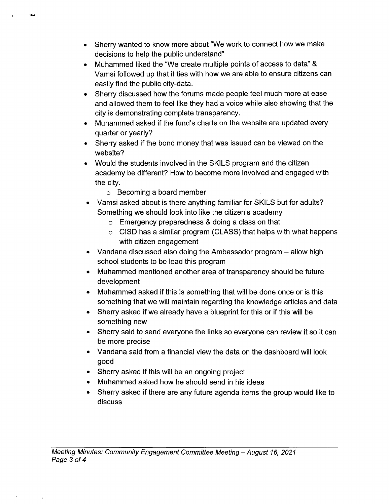- Sherry wanted to know more about "We work to connect how we make decisions to help the public understand"
- Muhammed liked the "We create multiple points of access to data" & Vamsi followed up that it ties with how we are able to ensure citizens can easily find the public city-data.
- Sherry discussed how the forums made people feel much more at ease and allowed them to feel like they had a voice while also showing that the city is demonstrating complete transparency.
- Muhammed asked if the fund's charts on the website are updated every quarter or yearly?
- Sherry asked if the bond money that was issued can be viewed on the website?
- Would the students involved in the SKILS program and the citizen academy be different? How to become more involved and engaged with the city.
	- o Becoming a board member
- Vamsi asked about is there anything familiar for SKILS but for adults? Something we should look into like the citizen's academy
	- o Emergency preparedness & doing a class on that
	- $\circ$  CISD has a similar program (CLASS) that helps with what happens with citizen engagement
- Vandana discussed also doing the Ambassador program allow high school students to be lead this program
- Muhammed mentioned another area of transparency should be future development
- Muhammed asked if this is something that will be done once or is this something that we will maintain regarding the knowledge articles and data
- Sherry asked if we already have a blueprint for this or if this will be something new
- Sherry said to send everyone the links so everyone can review it so it can be more precise
- Vandana said from a financial view the data on the dashboard will look good
- Sherry asked if this will be an ongoing project
- Muhammed asked how he should send in his ideas
- Sherry asked if there are any future agenda items the group would like to  $\bullet$ discuss

 $\,$